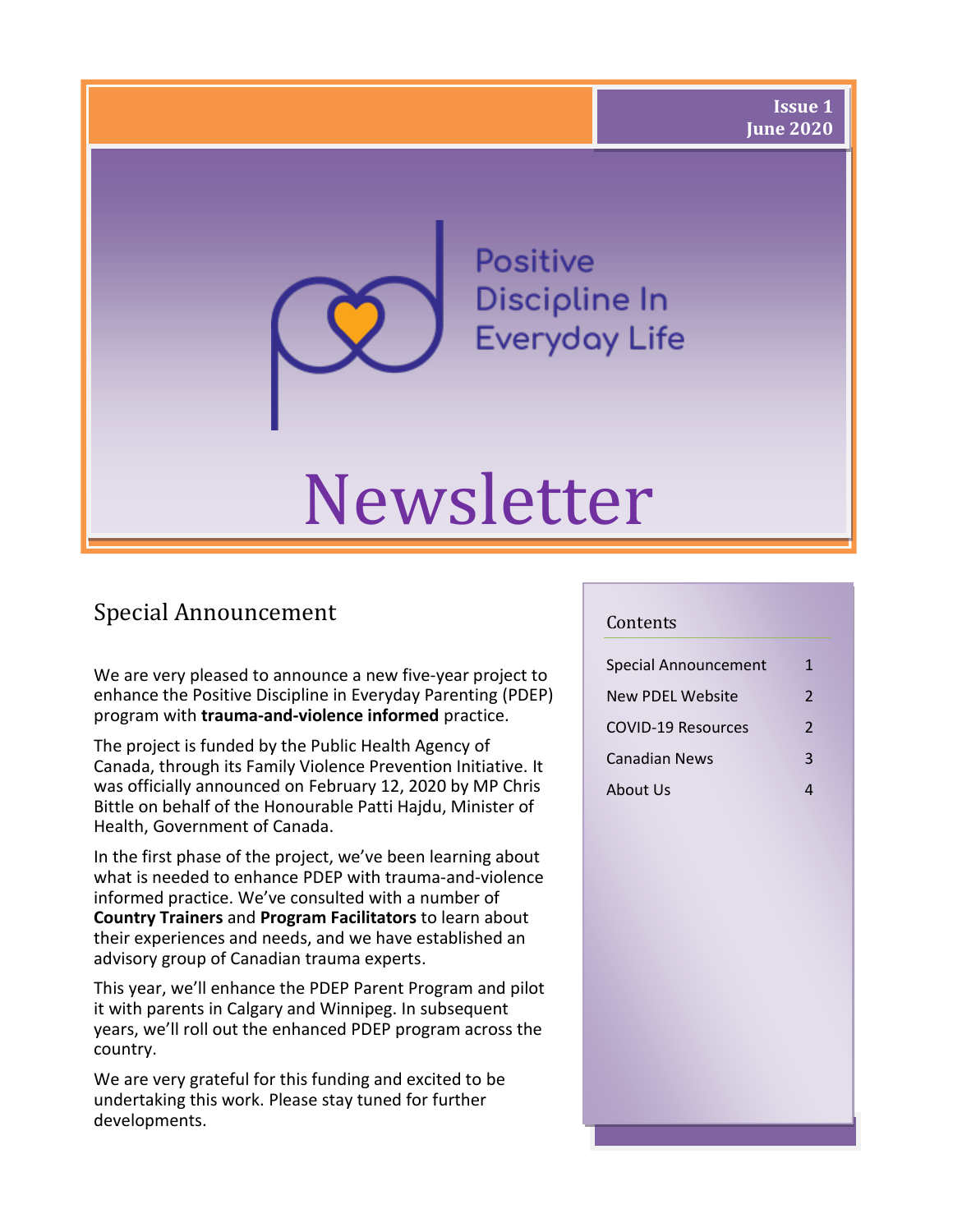**Positive** Discipline In **Everyday Life** 

# Newsletter

# Special Announcement

We are very pleased to announce a new five-year project to enhance the Positive Discipline in Everyday Parenting (PDEP) program with **trauma-and-violence informed** practice.

The project is funded by the Public Health Agency of Canada, through its Family Violence Prevention Initiative. It was officially announced on February 12, 2020 by MP Chris Bittle on behalf of the Honourable Patti Hajdu, Minister of Health, Government of Canada.

In the first phase of the project, we've been learning about what is needed to enhance PDEP with trauma-and-violence informed practice. We've consulted with a number of **Country Trainers** and **Program Facilitators** to learn about their experiences and needs, and we have established an advisory group of Canadian trauma experts.

This year, we'll enhance the PDEP Parent Program and pilot it with parents in Calgary and Winnipeg. In subsequent years, we'll roll out the enhanced PDEP program across the country.

We are very grateful for this funding and excited to be undertaking this work. Please stay tuned for further developments.

#### Contents

| Special Announcement      | 1              |
|---------------------------|----------------|
| New PDEL Website          | $\mathcal{P}$  |
| <b>COVID-19 Resources</b> | $\mathfrak{p}$ |
| Canadian News             | 3              |
| About Us                  |                |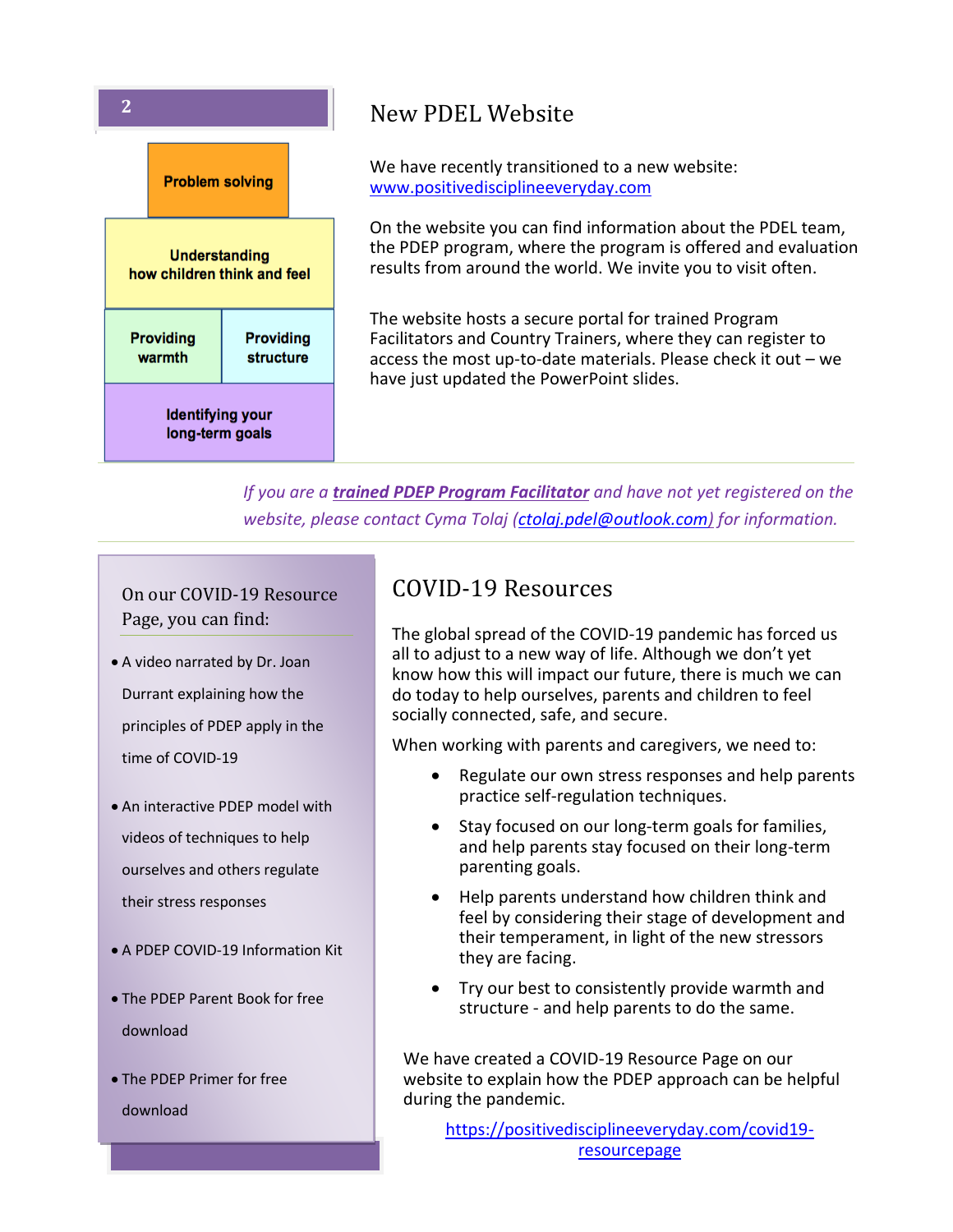

# **2** New PDEL Website

We have recently transitioned to a new website: [www.positivedisciplineeveryday.com](http://www.positivedisciplineeveryday.com/)

On the website you can find information about the PDEL team, the PDEP program, where the program is offered and evaluation results from around the world. We invite you to visit often.

The website hosts a secure portal for trained Program Facilitators and Country Trainers, where they can register to access the most up-to-date materials. Please check it out – we have just updated the PowerPoint slides.

*If you are a trained PDEP Program Facilitator and have not yet registered on the website, please contact Cyma Tolaj [\(ctolaj.pdel@outlook.com\)](mailto:ctolaj.pdel@outlook.com) for information.*

On our COVID-19 Resource Page, you can find:

- A video narrated by Dr. Joan Durrant explaining how the principles of PDEP apply in the time of COVID-19
- An interactive PDEP model with videos of techniques to help ourselves and others regulate their stress responses
- A PDEP COVID-19 Information Kit
- The PDEP Parent Book for free download
- The PDEP Primer for free download

## COVID-19 Resources

The global spread of the COVID-19 pandemic has forced us all to adjust to a new way of life. Although we don't yet know how this will impact our future, there is much we can do today to help ourselves, parents and children to feel socially connected, safe, and secure.

When working with parents and caregivers, we need to:

- Regulate our own stress responses and help parents practice self-regulation techniques.
- Stay focused on our long-term goals for families, and help parents stay focused on their long-term parenting goals.
- Help parents understand how children think and feel by considering their stage of development and their temperament, in light of the new stressors they are facing.
- Try our best to consistently provide warmth and structure - and help parents to do the same.

We have created a COVID-19 Resource Page on our website to explain how the PDEP approach can be helpful during the pandemic.

[https://positivedisciplineeveryday.com/covid19](https://positivedisciplineeveryday.com/covid19-resourcepage) [resourcepage](https://positivedisciplineeveryday.com/covid19-resourcepage)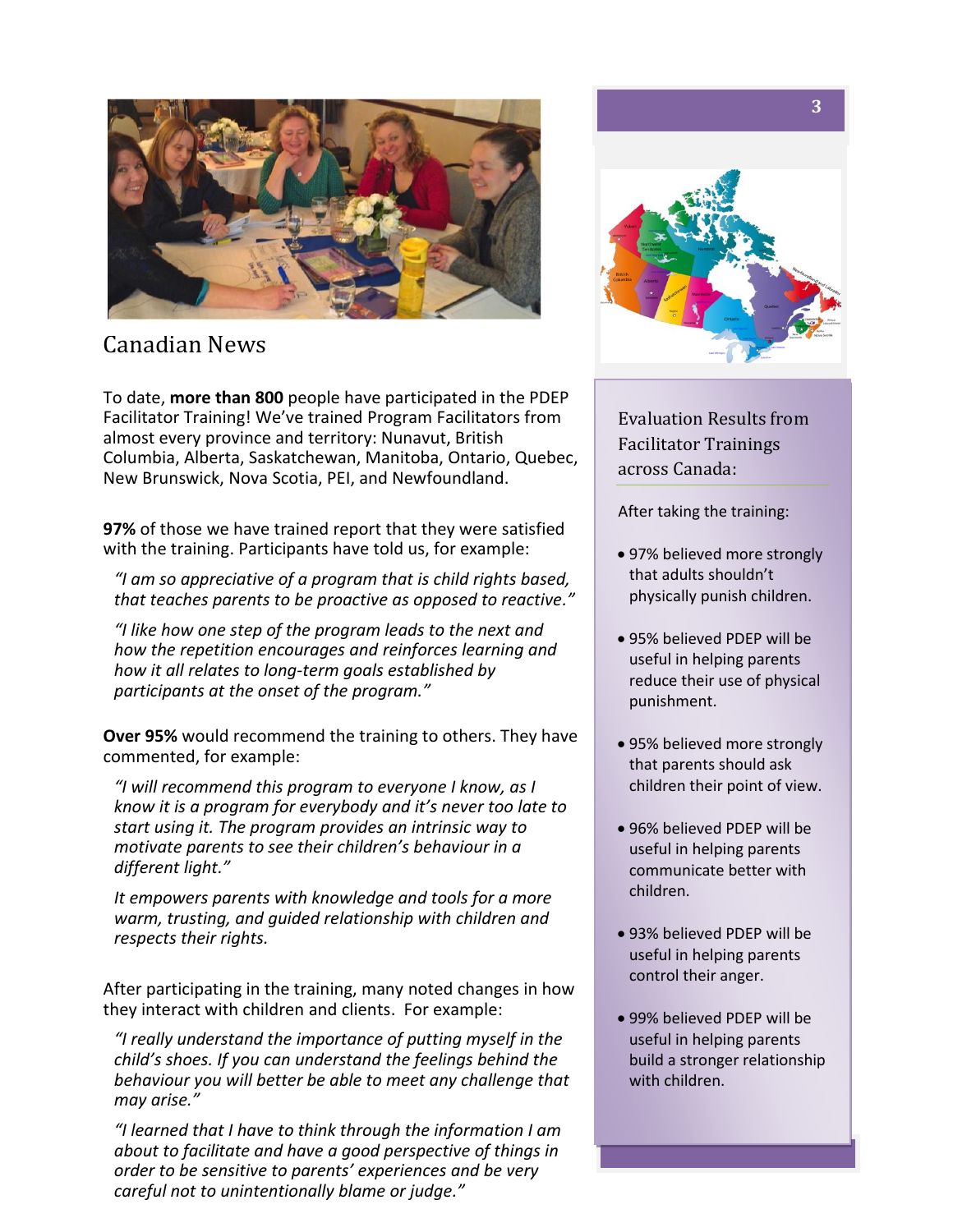

Canadian News

To date, **more than 800** people have participated in the PDEP Facilitator Training! We've trained Program Facilitators from almost every province and territory: Nunavut, British Columbia, Alberta, Saskatchewan, Manitoba, Ontario, Quebec, New Brunswick, Nova Scotia, PEI, and Newfoundland.

**97%** of those we have trained report that they were satisfied with the training. Participants have told us, for example:

*"I am so appreciative of a program that is child rights based, that teaches parents to be proactive as opposed to reactive."*

*"I like how one step of the program leads to the next and how the repetition encourages and reinforces learning and how it all relates to long-term goals established by participants at the onset of the program."*

**Over 95%** would recommend the training to others. They have commented, for example:

*"I will recommend this program to everyone I know, as I know it is a program for everybody and it's never too late to start using it. The program provides an intrinsic way to motivate parents to see their children's behaviour in a different light."*

*It empowers parents with knowledge and tools for a more warm, trusting, and guided relationship with children and respects their rights.*

After participating in the training, many noted changes in how they interact with children and clients. For example:

*"I really understand the importance of putting myself in the child's shoes. If you can understand the feelings behind the behaviour you will better be able to meet any challenge that may arise."*

*"I learned that I have to think through the information I am about to facilitate and have a good perspective of things in order to be sensitive to parents' experiences and be very careful not to unintentionally blame or judge."*



Evaluation Results from Facilitator Trainings across Canada:

After taking the training:

- 97% believed more strongly that adults shouldn't physically punish children.
- 95% believed PDEP will be useful in helping parents reduce their use of physical punishment.
- 95% believed more strongly that parents should ask children their point of view.
- 96% believed PDEP will be useful in helping parents communicate better with children.
- 93% believed PDEP will be useful in helping parents control their anger.
- 99% believed PDEP will be useful in helping parents build a stronger relationship with children.